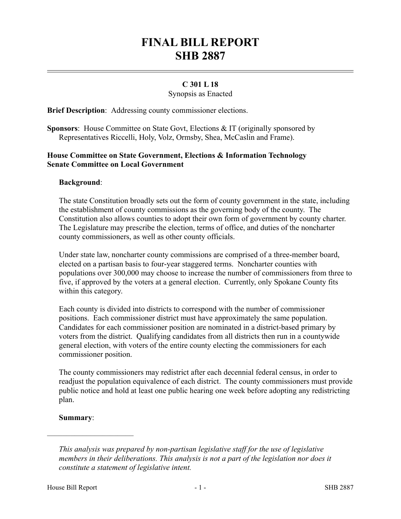# **FINAL BILL REPORT SHB 2887**

# **C 301 L 18**

Synopsis as Enacted

**Brief Description**: Addressing county commissioner elections.

**Sponsors**: House Committee on State Govt, Elections & IT (originally sponsored by Representatives Riccelli, Holy, Volz, Ormsby, Shea, McCaslin and Frame).

# **House Committee on State Government, Elections & Information Technology Senate Committee on Local Government**

## **Background**:

The state Constitution broadly sets out the form of county government in the state, including the establishment of county commissions as the governing body of the county. The Constitution also allows counties to adopt their own form of government by county charter. The Legislature may prescribe the election, terms of office, and duties of the noncharter county commissioners, as well as other county officials.

Under state law, noncharter county commissions are comprised of a three-member board, elected on a partisan basis to four-year staggered terms. Noncharter counties with populations over 300,000 may choose to increase the number of commissioners from three to five, if approved by the voters at a general election. Currently, only Spokane County fits within this category.

Each county is divided into districts to correspond with the number of commissioner positions. Each commissioner district must have approximately the same population. Candidates for each commissioner position are nominated in a district-based primary by voters from the district. Qualifying candidates from all districts then run in a countywide general election, with voters of the entire county electing the commissioners for each commissioner position.

The county commissioners may redistrict after each decennial federal census, in order to readjust the population equivalence of each district. The county commissioners must provide public notice and hold at least one public hearing one week before adopting any redistricting plan.

### **Summary**:

––––––––––––––––––––––

*This analysis was prepared by non-partisan legislative staff for the use of legislative members in their deliberations. This analysis is not a part of the legislation nor does it constitute a statement of legislative intent.*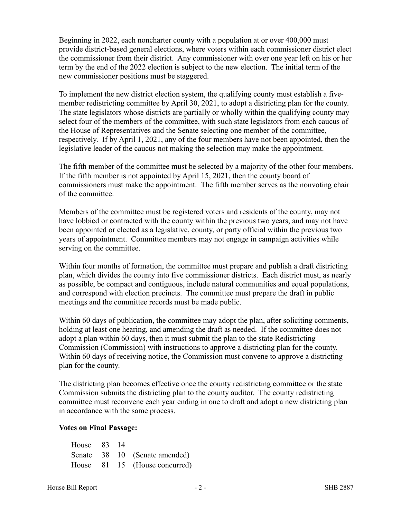Beginning in 2022, each noncharter county with a population at or over 400,000 must provide district-based general elections, where voters within each commissioner district elect the commissioner from their district. Any commissioner with over one year left on his or her term by the end of the 2022 election is subject to the new election. The initial term of the new commissioner positions must be staggered.

To implement the new district election system, the qualifying county must establish a fivemember redistricting committee by April 30, 2021, to adopt a districting plan for the county. The state legislators whose districts are partially or wholly within the qualifying county may select four of the members of the committee, with such state legislators from each caucus of the House of Representatives and the Senate selecting one member of the committee, respectively. If by April 1, 2021, any of the four members have not been appointed, then the legislative leader of the caucus not making the selection may make the appointment.

The fifth member of the committee must be selected by a majority of the other four members. If the fifth member is not appointed by April 15, 2021, then the county board of commissioners must make the appointment. The fifth member serves as the nonvoting chair of the committee.

Members of the committee must be registered voters and residents of the county, may not have lobbied or contracted with the county within the previous two years, and may not have been appointed or elected as a legislative, county, or party official within the previous two years of appointment. Committee members may not engage in campaign activities while serving on the committee.

Within four months of formation, the committee must prepare and publish a draft districting plan, which divides the county into five commissioner districts. Each district must, as nearly as possible, be compact and contiguous, include natural communities and equal populations, and correspond with election precincts. The committee must prepare the draft in public meetings and the committee records must be made public.

Within 60 days of publication, the committee may adopt the plan, after soliciting comments, holding at least one hearing, and amending the draft as needed. If the committee does not adopt a plan within 60 days, then it must submit the plan to the state Redistricting Commission (Commission) with instructions to approve a districting plan for the county. Within 60 days of receiving notice, the Commission must convene to approve a districting plan for the county.

The districting plan becomes effective once the county redistricting committee or the state Commission submits the districting plan to the county auditor. The county redistricting committee must reconvene each year ending in one to draft and adopt a new districting plan in accordance with the same process.

### **Votes on Final Passage:**

| House 83 14 |  |                               |
|-------------|--|-------------------------------|
|             |  | Senate 38 10 (Senate amended) |
|             |  | House 81 15 (House concurred) |